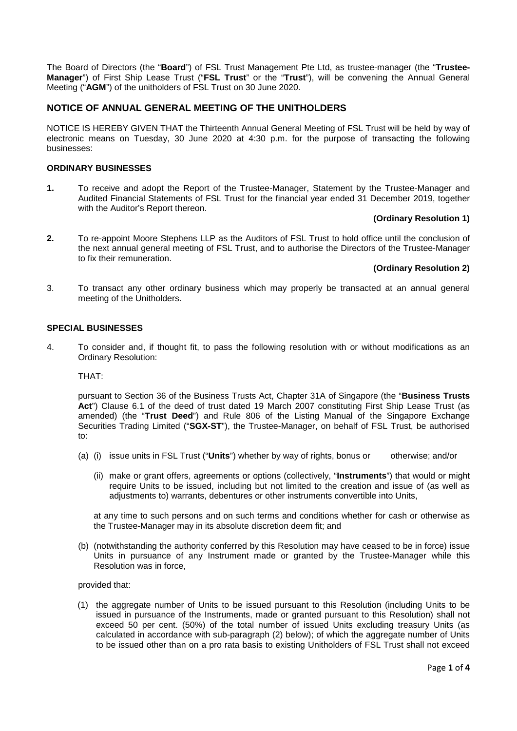The Board of Directors (the "**Board**") of FSL Trust Management Pte Ltd, as trustee-manager (the "**Trustee-Manager**") of First Ship Lease Trust ("**FSL Trust**" or the "**Trust**"), will be convening the Annual General Meeting ("**AGM**") of the unitholders of FSL Trust on 30 June 2020.

# **NOTICE OF ANNUAL GENERAL MEETING OF THE UNITHOLDERS**

NOTICE IS HEREBY GIVEN THAT the Thirteenth Annual General Meeting of FSL Trust will be held by way of electronic means on Tuesday, 30 June 2020 at 4:30 p.m. for the purpose of transacting the following businesses:

## **ORDINARY BUSINESSES**

**1.** To receive and adopt the Report of the Trustee-Manager, Statement by the Trustee-Manager and Audited Financial Statements of FSL Trust for the financial year ended 31 December 2019, together with the Auditor's Report thereon.

## **(Ordinary Resolution 1)**

**2.** To re-appoint Moore Stephens LLP as the Auditors of FSL Trust to hold office until the conclusion of the next annual general meeting of FSL Trust, and to authorise the Directors of the Trustee-Manager to fix their remuneration.

## **(Ordinary Resolution 2)**

3. To transact any other ordinary business which may properly be transacted at an annual general meeting of the Unitholders.

## **SPECIAL BUSINESSES**

4. To consider and, if thought fit, to pass the following resolution with or without modifications as an Ordinary Resolution:

## THAT:

pursuant to Section 36 of the Business Trusts Act, Chapter 31A of Singapore (the "**Business Trusts Act**") Clause 6.1 of the deed of trust dated 19 March 2007 constituting First Ship Lease Trust (as amended) (the "**Trust Deed**") and Rule 806 of the Listing Manual of the Singapore Exchange Securities Trading Limited ("**SGX-ST**"), the Trustee-Manager, on behalf of FSL Trust, be authorised to:

- (a) (i) issue units in FSL Trust ("**Units**") whether by way of rights, bonus or otherwise; and/or
	- (ii) make or grant offers, agreements or options (collectively, "**Instruments**") that would or might require Units to be issued, including but not limited to the creation and issue of (as well as adjustments to) warrants, debentures or other instruments convertible into Units,

at any time to such persons and on such terms and conditions whether for cash or otherwise as the Trustee-Manager may in its absolute discretion deem fit; and

(b) (notwithstanding the authority conferred by this Resolution may have ceased to be in force) issue Units in pursuance of any Instrument made or granted by the Trustee-Manager while this Resolution was in force,

provided that:

(1) the aggregate number of Units to be issued pursuant to this Resolution (including Units to be issued in pursuance of the Instruments, made or granted pursuant to this Resolution) shall not exceed 50 per cent. (50%) of the total number of issued Units excluding treasury Units (as calculated in accordance with sub-paragraph (2) below); of which the aggregate number of Units to be issued other than on a pro rata basis to existing Unitholders of FSL Trust shall not exceed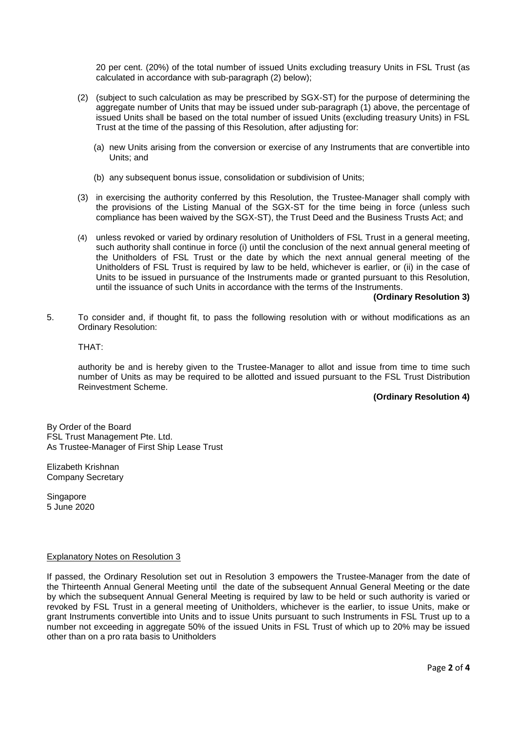20 per cent. (20%) of the total number of issued Units excluding treasury Units in FSL Trust (as calculated in accordance with sub-paragraph (2) below);

- (2) (subject to such calculation as may be prescribed by SGX-ST) for the purpose of determining the aggregate number of Units that may be issued under sub-paragraph (1) above, the percentage of issued Units shall be based on the total number of issued Units (excluding treasury Units) in FSL Trust at the time of the passing of this Resolution, after adjusting for:
	- (a) new Units arising from the conversion or exercise of any Instruments that are convertible into Units; and
	- (b) any subsequent bonus issue, consolidation or subdivision of Units;
- (3) in exercising the authority conferred by this Resolution, the Trustee-Manager shall comply with the provisions of the Listing Manual of the SGX-ST for the time being in force (unless such compliance has been waived by the SGX-ST), the Trust Deed and the Business Trusts Act; and
- (4) unless revoked or varied by ordinary resolution of Unitholders of FSL Trust in a general meeting, such authority shall continue in force (i) until the conclusion of the next annual general meeting of the Unitholders of FSL Trust or the date by which the next annual general meeting of the Unitholders of FSL Trust is required by law to be held, whichever is earlier, or (ii) in the case of Units to be issued in pursuance of the Instruments made or granted pursuant to this Resolution, until the issuance of such Units in accordance with the terms of the Instruments.

#### **(Ordinary Resolution 3)**

5. To consider and, if thought fit, to pass the following resolution with or without modifications as an Ordinary Resolution:

## THAT:

authority be and is hereby given to the Trustee-Manager to allot and issue from time to time such number of Units as may be required to be allotted and issued pursuant to the FSL Trust Distribution Reinvestment Scheme.

## **(Ordinary Resolution 4)**

By Order of the Board FSL Trust Management Pte. Ltd. As Trustee-Manager of First Ship Lease Trust

Elizabeth Krishnan Company Secretary

Singapore 5 June 2020

## Explanatory Notes on Resolution 3

If passed, the Ordinary Resolution set out in Resolution 3 empowers the Trustee-Manager from the date of the Thirteenth Annual General Meeting until the date of the subsequent Annual General Meeting or the date by which the subsequent Annual General Meeting is required by law to be held or such authority is varied or revoked by FSL Trust in a general meeting of Unitholders, whichever is the earlier, to issue Units, make or grant Instruments convertible into Units and to issue Units pursuant to such Instruments in FSL Trust up to a number not exceeding in aggregate 50% of the issued Units in FSL Trust of which up to 20% may be issued other than on a pro rata basis to Unitholders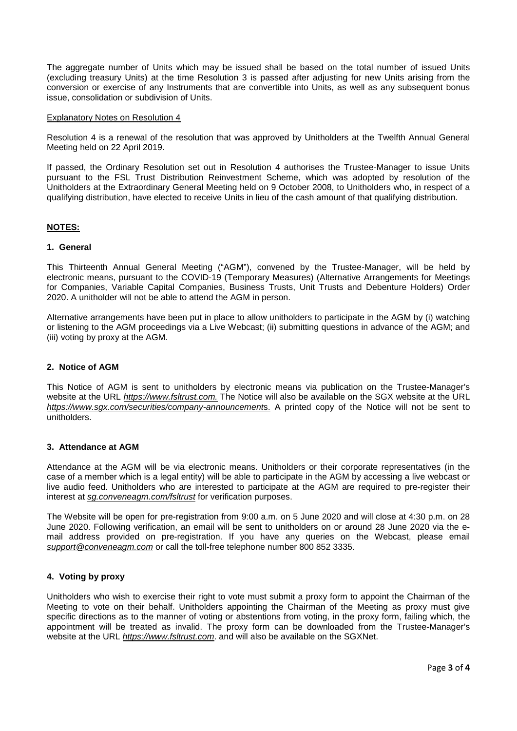The aggregate number of Units which may be issued shall be based on the total number of issued Units (excluding treasury Units) at the time Resolution 3 is passed after adjusting for new Units arising from the conversion or exercise of any Instruments that are convertible into Units, as well as any subsequent bonus issue, consolidation or subdivision of Units.

#### Explanatory Notes on Resolution 4

Resolution 4 is a renewal of the resolution that was approved by Unitholders at the Twelfth Annual General Meeting held on 22 April 2019.

If passed, the Ordinary Resolution set out in Resolution 4 authorises the Trustee-Manager to issue Units pursuant to the FSL Trust Distribution Reinvestment Scheme, which was adopted by resolution of the Unitholders at the Extraordinary General Meeting held on 9 October 2008, to Unitholders who, in respect of a qualifying distribution, have elected to receive Units in lieu of the cash amount of that qualifying distribution.

## **NOTES:**

## **1. General**

This Thirteenth Annual General Meeting ("AGM"), convened by the Trustee-Manager, will be held by electronic means, pursuant to the COVID-19 (Temporary Measures) (Alternative Arrangements for Meetings for Companies, Variable Capital Companies, Business Trusts, Unit Trusts and Debenture Holders) Order 2020. A unitholder will not be able to attend the AGM in person.

Alternative arrangements have been put in place to allow unitholders to participate in the AGM by (i) watching or listening to the AGM proceedings via a Live Webcast; (ii) submitting questions in advance of the AGM; and (iii) voting by proxy at the AGM.

## **2. Notice of AGM**

This Notice of AGM is sent to unitholders by electronic means via publication on the Trustee-Manager's website at the URL *https://www.fsltrust.com.* The Notice will also be available on the SGX website at the URL *https://www.sgx.com/securities/company-announcement*s. A printed copy of the Notice will not be sent to unitholders.

## **3. Attendance at AGM**

Attendance at the AGM will be via electronic means. Unitholders or their corporate representatives (in the case of a member which is a legal entity) will be able to participate in the AGM by accessing a live webcast or live audio feed. Unitholders who are interested to participate at the AGM are required to pre-register their interest at *sg.conveneagm.com/fsltrust* for verification purposes.

The Website will be open for pre-registration from 9:00 a.m. on 5 June 2020 and will close at 4:30 p.m. on 28 June 2020. Following verification, an email will be sent to unitholders on or around 28 June 2020 via the email address provided on pre-registration. If you have any queries on the Webcast, please email *support@conveneagm.com* or call the toll-free telephone number 800 852 3335.

## **4. Voting by proxy**

Unitholders who wish to exercise their right to vote must submit a proxy form to appoint the Chairman of the Meeting to vote on their behalf. Unitholders appointing the Chairman of the Meeting as proxy must give specific directions as to the manner of voting or abstentions from voting, in the proxy form, failing which, the appointment will be treated as invalid. The proxy form can be downloaded from the Trustee-Manager's website at the URL *https://www.fsltrust.com*. and will also be available on the SGXNet.